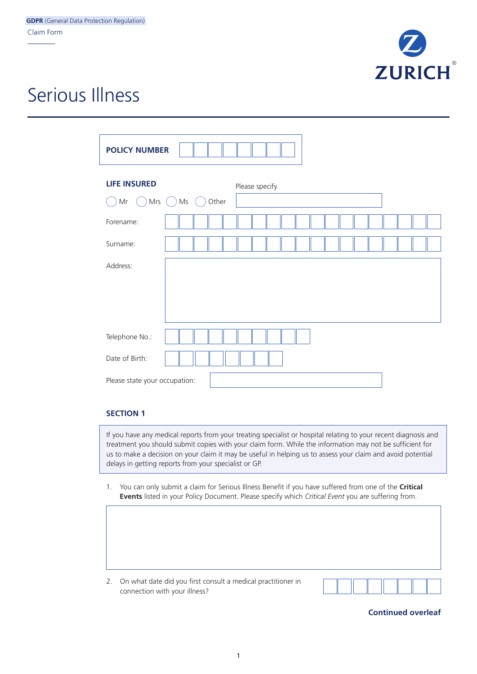

## Serious Illness

| <b>POLICY NUMBER</b>                   |               |       |  |                |  |  |  |  |  |  |
|----------------------------------------|---------------|-------|--|----------------|--|--|--|--|--|--|
| <b>LIFE INSURED</b><br>$\sf Mr$<br>Mrs | $\mathsf{Ms}$ | Other |  | Please specify |  |  |  |  |  |  |
| Forename:                              |               |       |  |                |  |  |  |  |  |  |
| Surname:                               |               |       |  |                |  |  |  |  |  |  |
| Address:                               |               |       |  |                |  |  |  |  |  |  |
|                                        |               |       |  |                |  |  |  |  |  |  |
|                                        |               |       |  |                |  |  |  |  |  |  |
| Telephone No.:                         |               |       |  |                |  |  |  |  |  |  |
| Date of Birth:                         |               |       |  |                |  |  |  |  |  |  |
| Please state your occupation:          |               |       |  |                |  |  |  |  |  |  |

## **SECTION 1**

If you have any medical reports from your treating specialist or hospital relating to your recent diagnosis and treatment you should submit copies with your claim form. While the information may not be sufficient for us to make a decision on your claim it may be useful in helping us to assess your claim and avoid potential delays in getting reports from your specialist or GP.

1. You can only submit a claim for Serious Illness Benefit if you have suffered from one of the **Critical Events** listed in your Policy Document. Please specify which *Critical Event* you are suffering from.

2. On what date did you first consult a medical practitioner in connection with your illness?



## **Continued overleaf**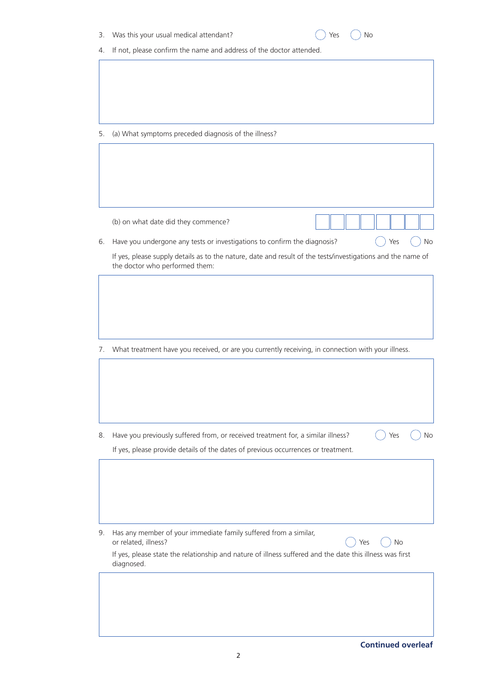| 3. | Was this your usual medical attendant?<br>No<br>Yes                                                                                           |    |
|----|-----------------------------------------------------------------------------------------------------------------------------------------------|----|
| 4. | If not, please confirm the name and address of the doctor attended.                                                                           |    |
|    |                                                                                                                                               |    |
|    |                                                                                                                                               |    |
| 5. | (a) What symptoms preceded diagnosis of the illness?                                                                                          |    |
|    |                                                                                                                                               |    |
|    |                                                                                                                                               |    |
|    | (b) on what date did they commence?                                                                                                           |    |
| 6. | Have you undergone any tests or investigations to confirm the diagnosis?<br>Yes                                                               | No |
|    | If yes, please supply details as to the nature, date and result of the tests/investigations and the name of<br>the doctor who performed them: |    |
|    |                                                                                                                                               |    |
|    |                                                                                                                                               |    |
|    |                                                                                                                                               |    |
|    |                                                                                                                                               |    |
|    |                                                                                                                                               |    |
| 7. | What treatment have you received, or are you currently receiving, in connection with your illness.                                            |    |
|    |                                                                                                                                               |    |
|    |                                                                                                                                               |    |
|    |                                                                                                                                               |    |
|    |                                                                                                                                               |    |
| 8. | Have you previously suffered from, or received treatment for, a similar illness?<br>Yes                                                       | No |
|    | If yes, please provide details of the dates of previous occurrences or treatment.                                                             |    |
|    |                                                                                                                                               |    |
|    |                                                                                                                                               |    |
|    |                                                                                                                                               |    |
|    |                                                                                                                                               |    |
| 9. | Has any member of your immediate family suffered from a similar,<br>or related, illness?<br><b>No</b><br>Yes                                  |    |
|    | If yes, please state the relationship and nature of illness suffered and the date this illness was first<br>diagnosed.                        |    |
|    |                                                                                                                                               |    |
|    |                                                                                                                                               |    |
|    |                                                                                                                                               |    |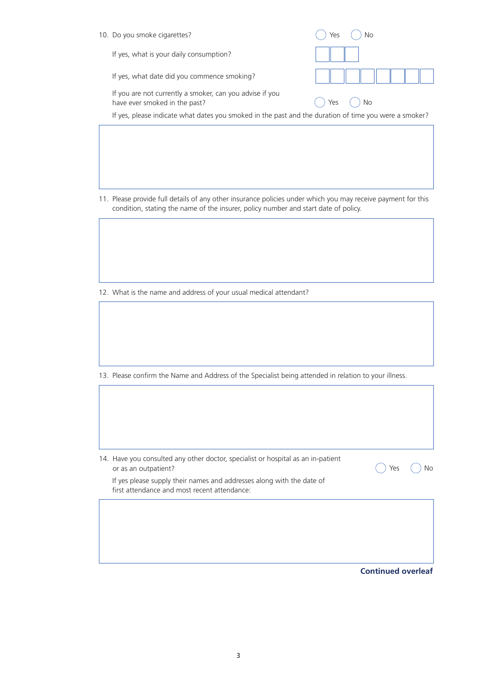| 10. Do you smoke cigarettes?                                                                          | ves              |
|-------------------------------------------------------------------------------------------------------|------------------|
| If yes, what is your daily consumption?                                                               |                  |
| If yes, what date did you commence smoking?                                                           |                  |
| If you are not currently a smoker, can you advise if you<br>have ever smoked in the past?             | <b>No</b><br>Yes |
| If yes, please indicate what dates you smoked in the past and the duration of time you were a smoker? |                  |
|                                                                                                       |                  |

11. Please provide full details of any other insurance policies under which you may receive payment for this condition, stating the name of the insurer, policy number and start date of policy.

12. What is the name and address of your usual medical attendant?

13. Please confirm the Name and Address of the Specialist being attended in relation to your illness.

14. Have you consulted any other doctor, specialist or hospital as an in-patient or as an outpatient?

If yes please supply their names and addresses along with the date of first attendance and most recent attendance:

**Continued overleaf**

Yes  $\bigcap$  No